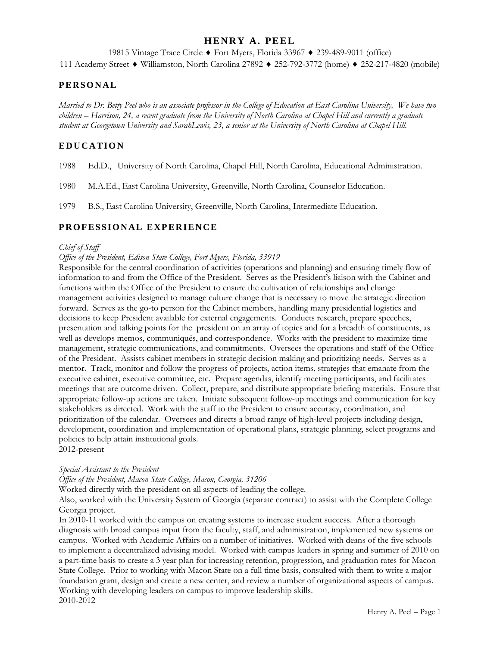## **HENRY A. PEEL**

19815 Vintage Trace Circle ♦ Fort Myers, Florida 33967 ♦ 239-489-9011 (office)

111 Academy Street ♦ Williamston, North Carolina 27892 ♦ 252-792-3772 (home) ♦ 252-217-4820 (mobile)

### **PERSONAL**

*Married to Dr. Betty Peel who is an associate professor in the College of Education at East Carolina University. We have two children – Harrison, 24, a recent graduate from the University of North Carolina at Chapel Hill and currently a graduate student at Georgetown University and SarahLewis, 23, a senior at the University of North Carolina at Chapel Hill.*

## **EDUCATION**

- 1988 Ed.D., University of North Carolina, Chapel Hill, North Carolina, Educational Administration.
- 1980 M.A.Ed., East Carolina University, Greenville, North Carolina, Counselor Education.
- 1979 B.S., East Carolina University, Greenville, North Carolina, Intermediate Education.

## **PROFESSIONAL EXPERIENCE**

#### *Chief of Staff*

#### *Office of the President, Edison State College, Fort Myers, Florida, 33919*

Responsible for the central coordination of activities (operations and planning) and ensuring timely flow of information to and from the Office of the President. Serves as the President's liaison with the Cabinet and functions within the Office of the President to ensure the cultivation of relationships and change management activities designed to manage culture change that is necessary to move the strategic direction forward. Serves as the go-to person for the Cabinet members, handling many presidential logistics and decisions to keep President available for external engagements. Conducts research, prepare speeches, presentation and talking points for the president on an array of topics and for a breadth of constituents, as well as develops memos, communiqués, and correspondence. Works with the president to maximize time management, strategic communications, and commitments. Oversees the operations and staff of the Office of the President. Assists cabinet members in strategic decision making and prioritizing needs. Serves as a mentor. Track, monitor and follow the progress of projects, action items, strategies that emanate from the executive cabinet, executive committee, etc. Prepare agendas, identify meeting participants, and facilitates meetings that are outcome driven. Collect, prepare, and distribute appropriate briefing materials. Ensure that appropriate follow-up actions are taken. Initiate subsequent follow-up meetings and communication for key stakeholders as directed. Work with the staff to the President to ensure accuracy, coordination, and prioritization of the calendar. Oversees and directs a broad range of high-level projects including design, development, coordination and implementation of operational plans, strategic planning, select programs and policies to help attain institutional goals. 2012-present

#### *Special Assistant to the President*

*Office of the President, Macon State College, Macon, Georgia, 31206*

Worked directly with the president on all aspects of leading the college.

Also, worked with the University System of Georgia (separate contract) to assist with the Complete College Georgia project.

In 2010-11 worked with the campus on creating systems to increase student success. After a thorough diagnosis with broad campus input from the faculty, staff, and administration, implemented new systems on campus. Worked with Academic Affairs on a number of initiatives. Worked with deans of the five schools to implement a decentralized advising model. Worked with campus leaders in spring and summer of 2010 on a part-time basis to create a 3 year plan for increasing retention, progression, and graduation rates for Macon State College. Prior to working with Macon State on a full time basis, consulted with them to write a major foundation grant, design and create a new center, and review a number of organizational aspects of campus. Working with developing leaders on campus to improve leadership skills. 2010-2012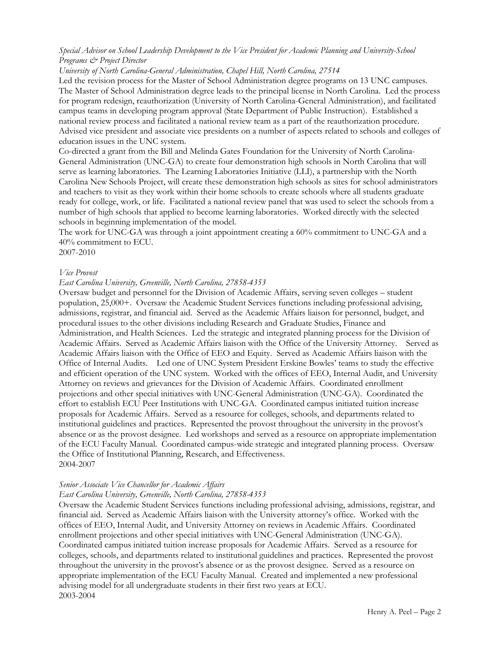#### *Special Advisor on School Leadership Development to the Vice President for Academic Planning and University-School Programs & Project Director*

*University of North Carolina-General Administration, Chapel Hill, North Carolina, 27514*

Led the revision process for the Master of School Administration degree programs on 13 UNC campuses. The Master of School Administration degree leads to the principal license in North Carolina. Led the process for program redesign, reauthorization (University of North Carolina-General Administration), and facilitated campus teams in developing program approval (State Department of Public Instruction). Established a national review process and facilitated a national review team as a part of the reauthorization procedure. Advised vice president and associate vice presidents on a number of aspects related to schools and colleges of education issues in the UNC system.

Co-directed a grant from the Bill and Melinda Gates Foundation for the University of North Carolina-General Administration (UNC-GA) to create four demonstration high schools in North Carolina that will serve as learning laboratories. The Learning Laboratories Initiative (LLI), a partnership with the North Carolina New Schools Project, will create these demonstration high schools as sites for school administrators and teachers to visit as they work within their home schools to create schools where all students graduate ready for college, work, or life. Facilitated a national review panel that was used to select the schools from a number of high schools that applied to become learning laboratories. Worked directly with the selected schools in beginning implementation of the model.

The work for UNC-GA was through a joint appointment creating a 60% commitment to UNC-GA and a 40% commitment to ECU.

2007-2010

#### *Vice Provost*

#### *East Carolina University, Greenville, North Carolina, 27858-4353*

Oversaw budget and personnel for the Division of Academic Affairs, serving seven colleges – student population, 25,000+. Oversaw the Academic Student Services functions including professional advising, admissions, registrar, and financial aid. Served as the Academic Affairs liaison for personnel, budget, and procedural issues to the other divisions including Research and Graduate Studies, Finance and Administration, and Health Sciences. Led the strategic and integrated planning process for the Division of Academic Affairs. Served as Academic Affairs liaison with the Office of the University Attorney. Served as Academic Affairs liaison with the Office of EEO and Equity. Served as Academic Affairs liaison with the Office of Internal Audits. Led one of UNC System President Erskine Bowles' teams to study the effective and efficient operation of the UNC system. Worked with the offices of EEO, Internal Audit, and University Attorney on reviews and grievances for the Division of Academic Affairs. Coordinated enrollment projections and other special initiatives with UNC-General Administration (UNC-GA). Coordinated the effort to establish ECU Peer Institutions with UNC-GA. Coordinated campus initiated tuition increase proposals for Academic Affairs. Served as a resource for colleges, schools, and departments related to institutional guidelines and practices. Represented the provost throughout the university in the provost's absence or as the provost designee. Led workshops and served as a resource on appropriate implementation of the ECU Faculty Manual. Coordinated campus-wide strategic and integrated planning process. Oversaw the Office of Institutional Planning, Research, and Effectiveness. 2004-2007

# *Senior Associate Vice Chancellor for Academic Affairs*

## *East Carolina University, Greenville, North Carolina, 27858-4353*

Oversaw the Academic Student Services functions including professional advising, admissions, registrar, and financial aid. Served as Academic Affairs liaison with the University attorney's office. Worked with the offices of EEO, Internal Audit, and University Attorney on reviews in Academic Affairs. Coordinated enrollment projections and other special initiatives with UNC-General Administration (UNC-GA). Coordinated campus initiated tuition increase proposals for Academic Affairs. Served as a resource for colleges, schools, and departments related to institutional guidelines and practices. Represented the provost throughout the university in the provost's absence or as the provost designee. Served as a resource on appropriate implementation of the ECU Faculty Manual. Created and implemented a new professional advising model for all undergraduate students in their first two years at ECU. 2003-2004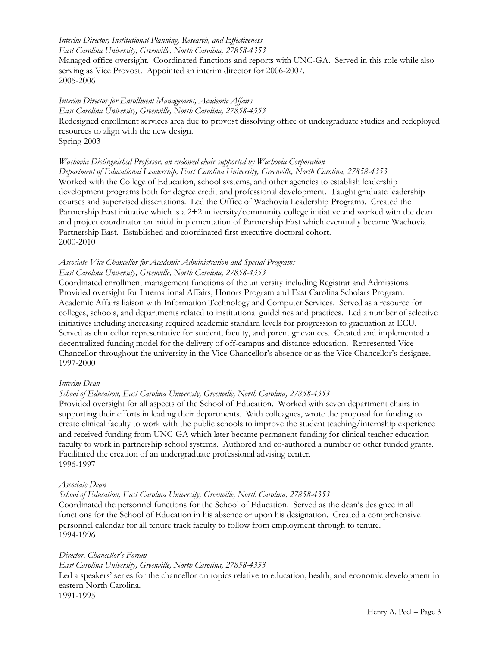## *Interim Director, Institutional Planning, Research, and Effectiveness*

*East Carolina University, Greenville, North Carolina, 27858-4353*

Managed office oversight. Coordinated functions and reports with UNC-GA. Served in this role while also serving as Vice Provost. Appointed an interim director for 2006-2007. 2005-2006

## *Interim Director for Enrollment Management, Academic Affairs*

*East Carolina University, Greenville, North Carolina, 27858-4353*

Redesigned enrollment services area due to provost dissolving office of undergraduate studies and redeployed resources to align with the new design.

Spring 2003

## *Wachovia Distinguished Professor, an endowed chair supported by Wachovia Corporation*

*Department of Educational Leadership, East Carolina University, Greenville, North Carolina, 27858-4353* Worked with the College of Education, school systems, and other agencies to establish leadership development programs both for degree credit and professional development. Taught graduate leadership courses and supervised dissertations. Led the Office of Wachovia Leadership Programs. Created the Partnership East initiative which is a 2+2 university/community college initiative and worked with the dean and project coordinator on initial implementation of Partnership East which eventually became Wachovia Partnership East. Established and coordinated first executive doctoral cohort. 2000-2010

## *Associate Vice Chancellor for Academic Administration and Special Programs East Carolina University, Greenville, North Carolina, 27858-4353*

Coordinated enrollment management functions of the university including Registrar and Admissions. Provided oversight for International Affairs, Honors Program and East Carolina Scholars Program. Academic Affairs liaison with Information Technology and Computer Services. Served as a resource for colleges, schools, and departments related to institutional guidelines and practices. Led a number of selective initiatives including increasing required academic standard levels for progression to graduation at ECU. Served as chancellor representative for student, faculty, and parent grievances. Created and implemented a decentralized funding model for the delivery of off-campus and distance education. Represented Vice Chancellor throughout the university in the Vice Chancellor's absence or as the Vice Chancellor's designee. 1997-2000

### *Interim Dean*

### *School of Education, East Carolina University, Greenville, North Carolina, 27858-4353*

Provided oversight for all aspects of the School of Education. Worked with seven department chairs in supporting their efforts in leading their departments. With colleagues, wrote the proposal for funding to create clinical faculty to work with the public schools to improve the student teaching/internship experience and received funding from UNC-GA which later became permanent funding for clinical teacher education faculty to work in partnership school systems. Authored and co-authored a number of other funded grants. Facilitated the creation of an undergraduate professional advising center. 1996-1997

### *Associate Dean*

*School of Education, East Carolina University, Greenville, North Carolina, 27858-4353*

Coordinated the personnel functions for the School of Education. Served as the dean's designee in all functions for the School of Education in his absence or upon his designation. Created a comprehensive personnel calendar for all tenure track faculty to follow from employment through to tenure. 1994-1996

#### *Director, Chancellor's Forum*

*East Carolina University, Greenville, North Carolina, 27858-4353*

Led a speakers' series for the chancellor on topics relative to education, health, and economic development in eastern North Carolina.

1991-1995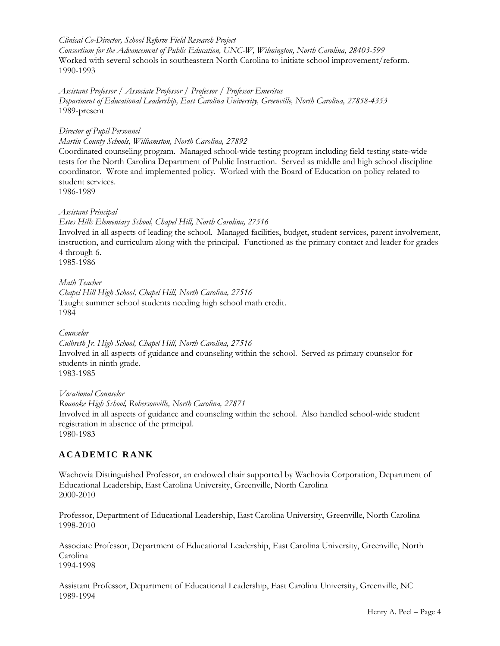#### *Clinical Co-Director, School Reform Field Research Project*

*Consortium for the Advancement of Public Education, UNC-W, Wilmington, North Carolina, 28403-599* Worked with several schools in southeastern North Carolina to initiate school improvement/reform. 1990-1993

*Assistant Professor / Associate Professor / Professor / Professor Emeritus Department of Educational Leadership, East Carolina University, Greenville, North Carolina, 27858-4353*  1989-present

*Director of Pupil Personnel*

*Martin County Schools, Williamston, North Carolina, 27892*

Coordinated counseling program. Managed school-wide testing program including field testing state-wide tests for the North Carolina Department of Public Instruction. Served as middle and high school discipline coordinator. Wrote and implemented policy. Worked with the Board of Education on policy related to student services.

1986-1989

#### *Assistant Principal*

*Estes Hills Elementary School, Chapel Hill, North Carolina, 27516* Involved in all aspects of leading the school. Managed facilities, budget, student services, parent involvement, instruction, and curriculum along with the principal. Functioned as the primary contact and leader for grades 4 through 6.

1985-1986

*Math Teacher Chapel Hill High School, Chapel Hill, North Carolina, 27516* Taught summer school students needing high school math credit. 1984

#### *Counselor*

*Culbreth Jr. High School, Chapel Hill, North Carolina, 27516* Involved in all aspects of guidance and counseling within the school. Served as primary counselor for students in ninth grade. 1983-1985

*Vocational Counselor Roanoke High School, Robersonville, North Carolina, 27871* Involved in all aspects of guidance and counseling within the school. Also handled school-wide student registration in absence of the principal. 1980-1983

## **ACADEMIC RANK**

Wachovia Distinguished Professor, an endowed chair supported by Wachovia Corporation, Department of Educational Leadership, East Carolina University, Greenville, North Carolina 2000-2010

Professor, Department of Educational Leadership, East Carolina University, Greenville, North Carolina 1998-2010

Associate Professor, Department of Educational Leadership, East Carolina University, Greenville, North Carolina 1994-1998

Assistant Professor, Department of Educational Leadership, East Carolina University, Greenville, NC 1989-1994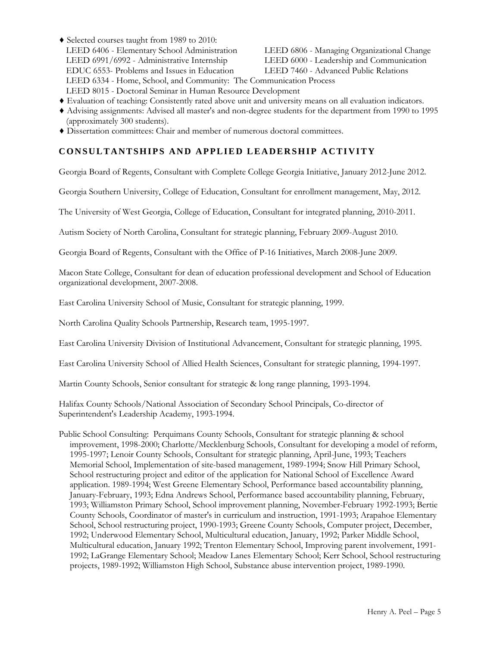- ♦ Selected courses taught from 1989 to 2010: LEED 6406 - Elementary School Administration LEED 6806 - Managing Organizational Change LEED 6991/6992 - Administrative Internship LEED 6000 - Leadership and Communication EDUC 6553- Problems and Issues in Education LEED 7460 - Advanced Public Relations LEED 6334 - Home, School, and Community: The Communication Process LEED 8015 - Doctoral Seminar in Human Resource Development
- ♦ Evaluation of teaching: Consistently rated above unit and university means on all evaluation indicators.
- ♦ Advising assignments: Advised all master's and non-degree students for the department from 1990 to 1995 (approximately 300 students).
- ♦ Dissertation committees: Chair and member of numerous doctoral committees.

## **CONSULTANTSHIPS AND APPLIED LEADERSHIP ACTIVITY**

Georgia Board of Regents, Consultant with Complete College Georgia Initiative, January 2012-June 2012.

Georgia Southern University, College of Education, Consultant for enrollment management, May, 2012.

The University of West Georgia, College of Education, Consultant for integrated planning, 2010-2011.

Autism Society of North Carolina, Consultant for strategic planning, February 2009-August 2010.

Georgia Board of Regents, Consultant with the Office of P-16 Initiatives, March 2008-June 2009.

Macon State College, Consultant for dean of education professional development and School of Education organizational development, 2007-2008.

East Carolina University School of Music, Consultant for strategic planning, 1999.

North Carolina Quality Schools Partnership, Research team, 1995-1997.

East Carolina University Division of Institutional Advancement, Consultant for strategic planning, 1995.

East Carolina University School of Allied Health Sciences, Consultant for strategic planning, 1994-1997.

Martin County Schools, Senior consultant for strategic & long range planning, 1993-1994.

Halifax County Schools/National Association of Secondary School Principals, Co-director of Superintendent's Leadership Academy, 1993-1994.

Public School Consulting: Perquimans County Schools, Consultant for strategic planning & school improvement, 1998-2000; Charlotte/Mecklenburg Schools, Consultant for developing a model of reform, 1995-1997; Lenoir County Schools, Consultant for strategic planning, April-June, 1993; Teachers Memorial School, Implementation of site-based management, 1989-1994; Snow Hill Primary School, School restructuring project and editor of the application for National School of Excellence Award application. 1989-1994; West Greene Elementary School, Performance based accountability planning, January-February, 1993; Edna Andrews School, Performance based accountability planning, February, 1993; Williamston Primary School, School improvement planning, November-February 1992-1993; Bertie County Schools, Coordinator of master's in curriculum and instruction, 1991-1993; Arapahoe Elementary School, School restructuring project, 1990-1993; Greene County Schools, Computer project, December, 1992; Underwood Elementary School, Multicultural education, January, 1992; Parker Middle School, Multicultural education, January 1992; Trenton Elementary School, Improving parent involvement, 1991- 1992; LaGrange Elementary School; Meadow Lanes Elementary School; Kerr School, School restructuring projects, 1989-1992; Williamston High School, Substance abuse intervention project, 1989-1990.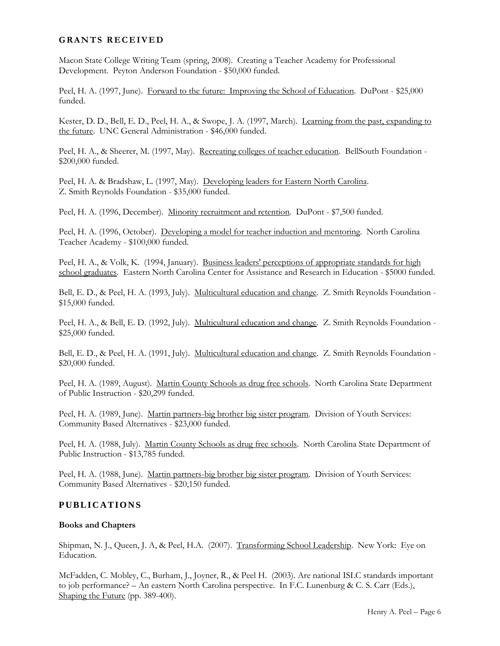### **GRANTS RECEIVED**

Macon State College Writing Team (spring, 2008). Creating a Teacher Academy for Professional Development. Peyton Anderson Foundation - \$50,000 funded.

Peel, H. A. (1997, June). Forward to the future: Improving the School of Education. DuPont - \$25,000 funded.

Kester, D. D., Bell, E. D., Peel, H. A., & Swope, J. A. (1997, March). Learning from the past, expanding to the future. UNC General Administration - \$46,000 funded.

Peel, H. A., & Sheerer, M. (1997, May). Recreating colleges of teacher education. BellSouth Foundation -\$200,000 funded.

Peel, H. A. & Bradshaw, L. (1997, May). Developing leaders for Eastern North Carolina. Z. Smith Reynolds Foundation - \$35,000 funded.

Peel, H. A. (1996, December). Minority recruitment and retention. DuPont - \$7,500 funded.

Peel, H. A. (1996, October). Developing a model for teacher induction and mentoring. North Carolina Teacher Academy - \$100,000 funded.

Peel, H. A., & Volk, K. (1994, January). Business leaders' perceptions of appropriate standards for high school graduates. Eastern North Carolina Center for Assistance and Research in Education - \$5000 funded.

Bell, E. D., & Peel, H. A. (1993, July). Multicultural education and change. Z. Smith Reynolds Foundation - \$15,000 funded.

Peel, H. A., & Bell, E. D. (1992, July). Multicultural education and change. Z. Smith Reynolds Foundation -\$25,000 funded.

Bell, E. D., & Peel, H. A. (1991, July). Multicultural education and change. Z. Smith Reynolds Foundation - \$20,000 funded.

Peel, H. A. (1989, August). Martin County Schools as drug free schools. North Carolina State Department of Public Instruction - \$20,299 funded.

Peel, H. A. (1989, June). Martin partners-big brother big sister program. Division of Youth Services: Community Based Alternatives - \$23,000 funded.

Peel, H. A. (1988, July). Martin County Schools as drug free schools. North Carolina State Department of Public Instruction - \$13,785 funded.

Peel, H. A. (1988, June). Martin partners-big brother big sister program. Division of Youth Services: Community Based Alternatives - \$20,150 funded.

### **PUBLICATIONS**

#### **Books and Chapters**

Shipman, N. J., Queen, J. A, & Peel, H.A. (2007). Transforming School Leadership. New York: Eye on Education.

McFadden, C. Mobley, C., Burham, J., Joyner, R., & Peel H. (2003). Are national ISLC standards important to job performance? – An eastern North Carolina perspective. In F.C. Lunenburg & C. S. Carr (Eds.), Shaping the Future (pp. 389-400).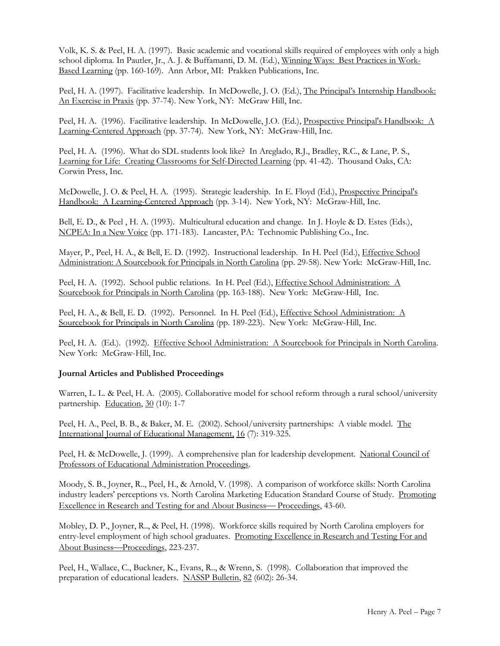Volk, K. S. & Peel, H. A. (1997). Basic academic and vocational skills required of employees with only a high school diploma. In Pautler, Jr., A. J. & Buffamanti, D. M. (Ed.), Winning Ways: Best Practices in Work-Based Learning (pp. 160-169). Ann Arbor, MI: Prakken Publications, Inc.

Peel, H. A. (1997). Facilitative leadership. In McDowelle, J. O. (Ed.), The Principal's Internship Handbook: An Exercise in Praxis (pp. 37-74). New York, NY: McGraw Hill, Inc.

Peel, H. A. (1996). Facilitative leadership. In McDowelle, J.O. (Ed.), Prospective Principal's Handbook: A Learning-Centered Approach (pp. 37-74). New York, NY: McGraw-Hill, Inc.

Peel, H. A. (1996). What do SDL students look like? In Areglado, R.J., Bradley, R.C., & Lane, P. S., Learning for Life: Creating Classrooms for Self-Directed Learning (pp. 41-42). Thousand Oaks, CA: Corwin Press, Inc.

McDowelle, J. O. & Peel, H. A. (1995). Strategic leadership. In E. Floyd (Ed.), Prospective Principal's Handbook: A Learning-Centered Approach (pp. 3-14). New York, NY: McGraw-Hill, Inc.

Bell, E. D., & Peel , H. A. (1993). Multicultural education and change. In J. Hoyle & D. Estes (Eds.), NCPEA: In a New Voice (pp. 171-183). Lancaster, PA: Technomic Publishing Co., Inc.

Mayer, P., Peel, H. A., & Bell, E. D. (1992). Instructional leadership. In H. Peel (Ed.), Effective School Administration: A Sourcebook for Principals in North Carolina (pp. 29-58). New York: McGraw-Hill, Inc.

Peel, H. A. (1992). School public relations. In H. Peel (Ed.), Effective School Administration: A Sourcebook for Principals in North Carolina (pp. 163-188). New York: McGraw-Hill, Inc.

Peel, H. A., & Bell, E. D. (1992). Personnel. In H. Peel (Ed.), *Effective School Administration:* A Sourcebook for Principals in North Carolina (pp. 189-223). New York: McGraw-Hill, Inc.

Peel, H. A. (Ed.). (1992). Effective School Administration: A Sourcebook for Principals in North Carolina. New York: McGraw-Hill, Inc.

#### **Journal Articles and Published Proceedings**

Warren, L. L. & Peel, H. A. (2005). Collaborative model for school reform through a rural school/university partnership. Education, 30 (10): 1-7

Peel, H. A., Peel, B. B., & Baker, M. E. (2002). School/university partnerships: A viable model. The International Journal of Educational Management, 16 (7): 319-325.

Peel, H. & McDowelle, J. (1999). A comprehensive plan for leadership development. National Council of Professors of Educational Administration Proceedings.

Moody, S. B., Joyner, R.., Peel, H., & Arnold, V. (1998). A comparison of workforce skills: North Carolina industry leaders' perceptions vs. North Carolina Marketing Education Standard Course of Study. Promoting Excellence in Research and Testing for and About Business—Proceedings, 43-60.

Mobley, D. P., Joyner, R.., & Peel, H. (1998). Workforce skills required by North Carolina employers for entry-level employment of high school graduates. Promoting Excellence in Research and Testing For and About Business-Proceedings, 223-237.

Peel, H., Wallace, C., Buckner, K., Evans, R.., & Wrenn, S. (1998). Collaboration that improved the preparation of educational leaders. NASSP Bulletin, 82 (602): 26-34.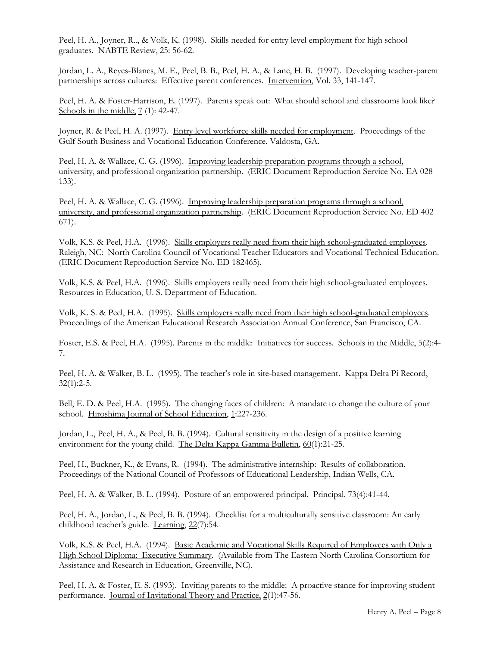Peel, H. A., Joyner, R.., & Volk, K. (1998). Skills needed for entry level employment for high school graduates. NABTE Review, 25: 56-62.

Jordan, L. A., Reyes-Blanes, M. E., Peel, B. B., Peel, H. A., & Lane, H. B. (1997). Developing teacher-parent partnerships across cultures: Effective parent conferences. Intervention, Vol. 33, 141-147.

Peel, H. A. & Foster-Harrison, E. (1997). Parents speak out: What should school and classrooms look like? Schools in the middle,  $7(1)$ : 42-47.

Joyner, R. & Peel, H. A. (1997). Entry level workforce skills needed for employment. Proceedings of the Gulf South Business and Vocational Education Conference. Valdosta, GA.

Peel, H. A. & Wallace, C. G. (1996). Improving leadership preparation programs through a school, university, and professional organization partnership. (ERIC Document Reproduction Service No. EA 028 133).

Peel, H. A. & Wallace, C. G. (1996). Improving leadership preparation programs through a school, university, and professional organization partnership. (ERIC Document Reproduction Service No. ED 402 671).

Volk, K.S. & Peel, H.A. (1996). Skills employers really need from their high school-graduated employees. Raleigh, NC: North Carolina Council of Vocational Teacher Educators and Vocational Technical Education. (ERIC Document Reproduction Service No. ED 182465).

Volk, K.S. & Peel, H.A. (1996). Skills employers really need from their high school-graduated employees. Resources in Education, U. S. Department of Education.

Volk, K. S. & Peel, H.A. (1995). Skills employers really need from their high school-graduated employees. Proceedings of the American Educational Research Association Annual Conference, San Francisco, CA.

Foster, E.S. & Peel, H.A. (1995). Parents in the middle: Initiatives for success. Schools in the Middle, 5(2):4- 7.

Peel, H. A. & Walker, B. L. (1995). The teacher's role in site-based management. Kappa Delta Pi Record,  $32(1):2-5.$ 

Bell, E. D. & Peel, H.A. (1995). The changing faces of children: A mandate to change the culture of your school. Hiroshima Journal of School Education, 1:227-236.

Jordan, L., Peel, H. A., & Peel, B. B. (1994). Cultural sensitivity in the design of a positive learning environment for the young child. The Delta Kappa Gamma Bulletin, 60(1):21-25.

Peel, H., Buckner, K., & Evans, R. (1994). The administrative internship: Results of collaboration. Proceedings of the National Council of Professors of Educational Leadership, Indian Wells, CA.

Peel, H. A. & Walker, B. L. (1994). Posture of an empowered principal. Principal. 73(4):41-44.

Peel, H. A., Jordan, L., & Peel, B. B. (1994). Checklist for a multiculturally sensitive classroom: An early childhood teacher's guide. Learning, 22(7):54.

Volk, K.S. & Peel, H.A. (1994). Basic Academic and Vocational Skills Required of Employees with Only a High School Diploma: Executive Summary. (Available from The Eastern North Carolina Consortium for Assistance and Research in Education, Greenville, NC).

Peel, H. A. & Foster, E. S. (1993). Inviting parents to the middle: A proactive stance for improving student performance. Journal of Invitational Theory and Practice, 2(1):47-56.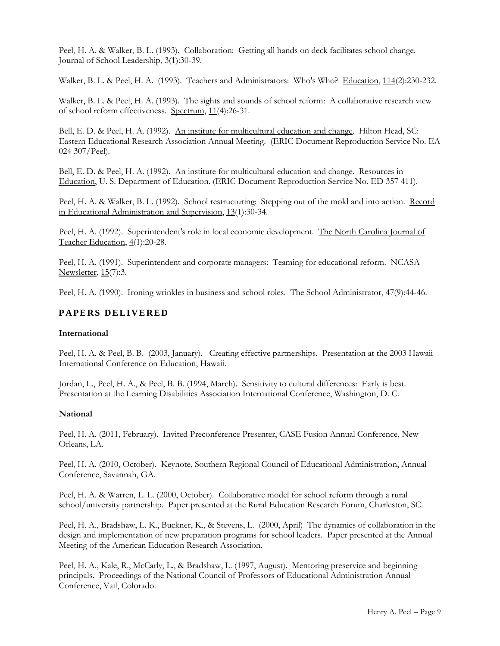Peel, H. A. & Walker, B. L. (1993). Collaboration: Getting all hands on deck facilitates school change. Journal of School Leadership, 3(1):30-39.

Walker, B. L. & Peel, H. A. (1993). Teachers and Administrators: Who's Who? Education, 114(2):230-232.

Walker, B. L. & Peel, H. A. (1993). The sights and sounds of school reform: A collaborative research view of school reform effectiveness. Spectrum, 11(4):26-31.

Bell, E. D. & Peel, H. A. (1992). An institute for multicultural education and change. Hilton Head, SC: Eastern Educational Research Association Annual Meeting. (ERIC Document Reproduction Service No. EA 024 307/Peel).

Bell, E. D. & Peel, H. A. (1992). An institute for multicultural education and change. Resources in Education, U. S. Department of Education. (ERIC Document Reproduction Service No. ED 357 411).

Peel, H. A. & Walker, B. L. (1992). School restructuring: Stepping out of the mold and into action. Record in Educational Administration and Supervision, 13(1):30-34.

Peel, H. A. (1992). Superintendent's role in local economic development. The North Carolina Journal of Teacher Education, 4(1):20-28.

Peel, H. A. (1991). Superintendent and corporate managers: Teaming for educational reform. NCASA Newsletter, 15(7):3.

Peel, H. A. (1990). Ironing wrinkles in business and school roles. The School Administrator, 47(9):44-46.

### **PAPERS DELIVERED**

#### **International**

Peel, H. A. & Peel, B. B. (2003, January). Creating effective partnerships. Presentation at the 2003 Hawaii International Conference on Education, Hawaii.

Jordan, L., Peel, H. A., & Peel, B. B. (1994, March). Sensitivity to cultural differences: Early is best. Presentation at the Learning Disabilities Association International Conference, Washington, D. C.

#### **National**

Peel, H. A. (2011, February). Invited Preconference Presenter, CASE Fusion Annual Conference, New Orleans, LA.

Peel, H. A. (2010, October). Keynote, Southern Regional Council of Educational Administration, Annual Conference, Savannah, GA.

Peel, H. A. & Warren, L. L. (2000, October). Collaborative model for school reform through a rural school/university partnership. Paper presented at the Rural Education Research Forum, Charleston, SC.

Peel, H. A., Bradshaw, L. K., Buckner, K., & Stevens, L. (2000, April) The dynamics of collaboration in the design and implementation of new preparation programs for school leaders. Paper presented at the Annual Meeting of the American Education Research Association.

Peel, H. A., Kale, R., McCarly, L., & Bradshaw, L. (1997, August). Mentoring preservice and beginning principals. Proceedings of the National Council of Professors of Educational Administration Annual Conference, Vail, Colorado.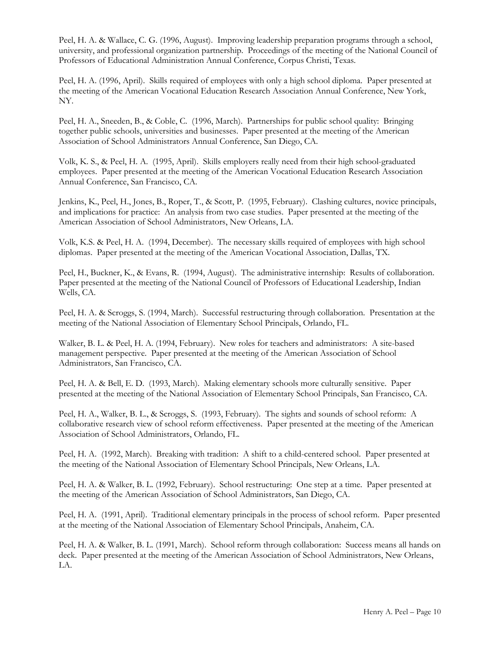Peel, H. A. & Wallace, C. G. (1996, August). Improving leadership preparation programs through a school, university, and professional organization partnership. Proceedings of the meeting of the National Council of Professors of Educational Administration Annual Conference, Corpus Christi, Texas.

Peel, H. A. (1996, April). Skills required of employees with only a high school diploma. Paper presented at the meeting of the American Vocational Education Research Association Annual Conference, New York, NY.

Peel, H. A., Sneeden, B., & Coble, C. (1996, March). Partnerships for public school quality: Bringing together public schools, universities and businesses. Paper presented at the meeting of the American Association of School Administrators Annual Conference, San Diego, CA.

Volk, K. S., & Peel, H. A. (1995, April). Skills employers really need from their high school-graduated employees. Paper presented at the meeting of the American Vocational Education Research Association Annual Conference, San Francisco, CA.

Jenkins, K., Peel, H., Jones, B., Roper, T., & Scott, P. (1995, February). Clashing cultures, novice principals, and implications for practice: An analysis from two case studies. Paper presented at the meeting of the American Association of School Administrators, New Orleans, LA.

Volk, K.S. & Peel, H. A. (1994, December). The necessary skills required of employees with high school diplomas. Paper presented at the meeting of the American Vocational Association, Dallas, TX.

Peel, H., Buckner, K., & Evans, R. (1994, August). The administrative internship: Results of collaboration. Paper presented at the meeting of the National Council of Professors of Educational Leadership, Indian Wells, CA.

Peel, H. A. & Scroggs, S. (1994, March). Successful restructuring through collaboration. Presentation at the meeting of the National Association of Elementary School Principals, Orlando, FL.

Walker, B. L. & Peel, H. A. (1994, February). New roles for teachers and administrators: A site-based management perspective. Paper presented at the meeting of the American Association of School Administrators, San Francisco, CA.

Peel, H. A. & Bell, E. D. (1993, March). Making elementary schools more culturally sensitive. Paper presented at the meeting of the National Association of Elementary School Principals, San Francisco, CA.

Peel, H. A., Walker, B. L., & Scroggs, S. (1993, February). The sights and sounds of school reform: A collaborative research view of school reform effectiveness. Paper presented at the meeting of the American Association of School Administrators, Orlando, FL.

Peel, H. A. (1992, March). Breaking with tradition: A shift to a child-centered school. Paper presented at the meeting of the National Association of Elementary School Principals, New Orleans, LA.

Peel, H. A. & Walker, B. L. (1992, February). School restructuring: One step at a time. Paper presented at the meeting of the American Association of School Administrators, San Diego, CA.

Peel, H. A. (1991, April). Traditional elementary principals in the process of school reform. Paper presented at the meeting of the National Association of Elementary School Principals, Anaheim, CA.

Peel, H. A. & Walker, B. L. (1991, March). School reform through collaboration: Success means all hands on deck. Paper presented at the meeting of the American Association of School Administrators, New Orleans, LA.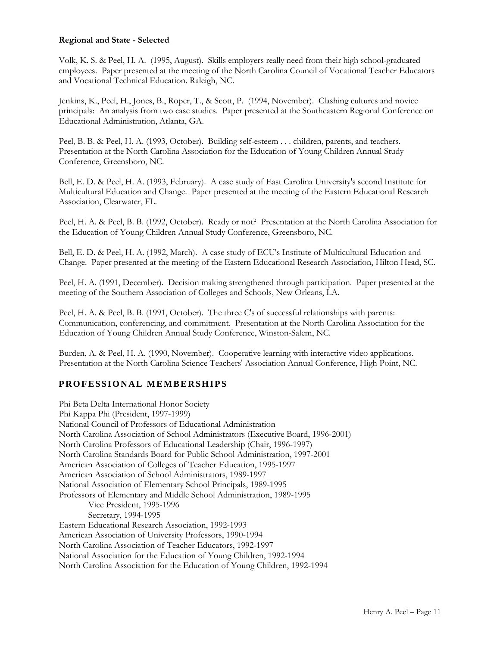### **Regional and State - Selected**

Volk, K. S. & Peel, H. A. (1995, August). Skills employers really need from their high school-graduated employees. Paper presented at the meeting of the North Carolina Council of Vocational Teacher Educators and Vocational Technical Education. Raleigh, NC.

Jenkins, K., Peel, H., Jones, B., Roper, T., & Scott, P. (1994, November). Clashing cultures and novice principals: An analysis from two case studies. Paper presented at the Southeastern Regional Conference on Educational Administration, Atlanta, GA.

Peel, B. B. & Peel, H. A. (1993, October). Building self-esteem . . . children, parents, and teachers. Presentation at the North Carolina Association for the Education of Young Children Annual Study Conference, Greensboro, NC.

Bell, E. D. & Peel, H. A. (1993, February). A case study of East Carolina University's second Institute for Multicultural Education and Change. Paper presented at the meeting of the Eastern Educational Research Association, Clearwater, FL.

Peel, H. A. & Peel, B. B. (1992, October). Ready or not? Presentation at the North Carolina Association for the Education of Young Children Annual Study Conference, Greensboro, NC.

Bell, E. D. & Peel, H. A. (1992, March). A case study of ECU's Institute of Multicultural Education and Change. Paper presented at the meeting of the Eastern Educational Research Association, Hilton Head, SC.

Peel, H. A. (1991, December). Decision making strengthened through participation. Paper presented at the meeting of the Southern Association of Colleges and Schools, New Orleans, LA.

Peel, H. A. & Peel, B. B. (1991, October). The three C's of successful relationships with parents: Communication, conferencing, and commitment. Presentation at the North Carolina Association for the Education of Young Children Annual Study Conference, Winston-Salem, NC.

Burden, A. & Peel, H. A. (1990, November). Cooperative learning with interactive video applications. Presentation at the North Carolina Science Teachers' Association Annual Conference, High Point, NC.

## **PROFESSIONAL MEMBERSHIPS**

Phi Beta Delta International Honor Society Phi Kappa Phi (President, 1997-1999) National Council of Professors of Educational Administration North Carolina Association of School Administrators (Executive Board, 1996-2001) North Carolina Professors of Educational Leadership (Chair, 1996-1997) North Carolina Standards Board for Public School Administration, 1997-2001 American Association of Colleges of Teacher Education, 1995-1997 American Association of School Administrators, 1989-1997 National Association of Elementary School Principals, 1989-1995 Professors of Elementary and Middle School Administration, 1989-1995 Vice President, 1995-1996 Secretary, 1994-1995 Eastern Educational Research Association, 1992-1993 American Association of University Professors, 1990-1994 North Carolina Association of Teacher Educators, 1992-1997 National Association for the Education of Young Children, 1992-1994 North Carolina Association for the Education of Young Children, 1992-1994